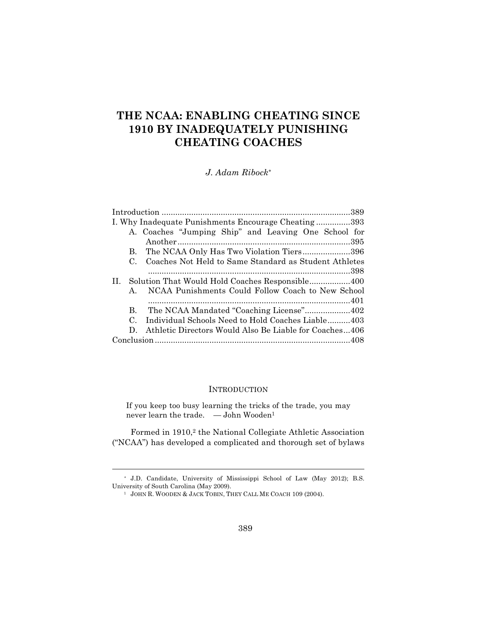# **THE NCAA: ENABLING CHEATING SINCE 1910 BY INADEQUATELY PUNISHING CHEATING COACHES**

*J. Adam Ribock\**

| I. Why Inadequate Punishments Encourage Cheating393                       |
|---------------------------------------------------------------------------|
| A. Coaches "Jumping Ship" and Leaving One School for                      |
|                                                                           |
| B. The NCAA Only Has Two Violation Tiers396                               |
| Coaches Not Held to Same Standard as Student Athletes<br>$\mathbf{C}$     |
|                                                                           |
| П.                                                                        |
| NCAA Punishments Could Follow Coach to New School<br>$\mathbf{A}_{\cdot}$ |
|                                                                           |
| $\mathbf{B}$ .                                                            |
| Individual Schools Need to Hold Coaches Liable403<br>$C_{\cdot}$          |
| Athletic Directors Would Also Be Liable for Coaches406<br>D.              |
|                                                                           |

## INTRODUCTION

If you keep too busy learning the tricks of the trade, you may never learn the trade. — John Wooden1

Formed in 1910,<sup>2</sup> the National Collegiate Athletic Association ("NCAA") has developed a complicated and thorough set of bylaws

<sup>\*</sup> J.D. Candidate, University of Mississippi School of Law (May 2012); B.S. University of South Carolina (May 2009).

<sup>&</sup>lt;sup>1</sup> JOHN R. WOODEN & JACK TOBIN, THEY CALL ME COACH 109 (2004).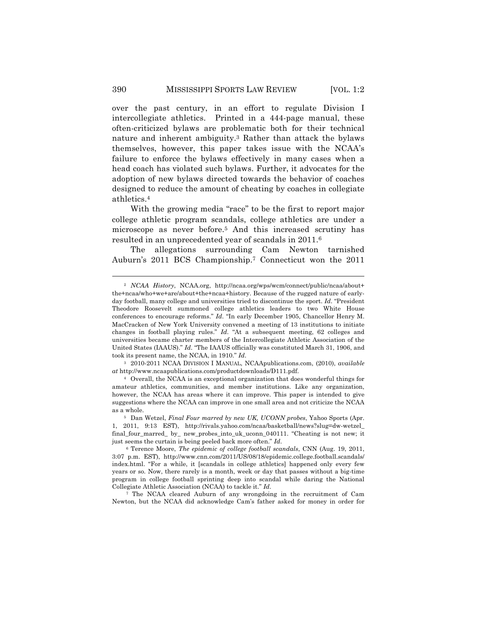over the past century, in an effort to regulate Division I intercollegiate athletics. Printed in a 444-page manual, these often-criticized bylaws are problematic both for their technical nature and inherent ambiguity.3 Rather than attack the bylaws themselves, however, this paper takes issue with the NCAA's failure to enforce the bylaws effectively in many cases when a head coach has violated such bylaws. Further, it advocates for the adoption of new bylaws directed towards the behavior of coaches designed to reduce the amount of cheating by coaches in collegiate athletics.4

With the growing media "race" to be the first to report major college athletic program scandals, college athletics are under a microscope as never before.5 And this increased scrutiny has resulted in an unprecedented year of scandals in 2011.6

The allegations surrounding Cam Newton tarnished Auburn's 2011 BCS Championship.7 Connecticut won the 2011

<sup>3</sup> 2010-2011 NCAA DIVISION I MANUAL, NCAApublications.com, (2010), *available at* http://www.ncaapublications.com/productdownloads/D111.pdf.

 $7$  The NCAA cleared Auburn of any wrongdoing in the recruitment of Cam Newton, but the NCAA did acknowledge Cam's father asked for money in order for

<sup>2</sup> *NCAA History*, NCAA.org, http://ncaa.org/wps/wcm/connect/public/ncaa/about+ the+ncaa/who+we+are/about+the+ncaa+history. Because of the rugged nature of earlyday football, many college and universities tried to discontinue the sport. *Id*. "President Theodore Roosevelt summoned college athletics leaders to two White House conferences to encourage reforms." *Id*. "In early December 1905, Chancellor Henry M. MacCracken of New York University convened a meeting of 13 institutions to initiate changes in football playing rules." *Id*. "At a subsequent meeting, 62 colleges and universities became charter members of the Intercollegiate Athletic Association of the United States (IAAUS)." *Id*. "The IAAUS officially was constituted March 31, 1906, and took its present name, the NCAA, in 1910." *Id*.

<sup>4</sup> Overall, the NCAA is an exceptional organization that does wonderful things for amateur athletics, communities, and member institutions. Like any organization, however, the NCAA has areas where it can improve. This paper is intended to give suggestions where the NCAA can improve in one small area and not criticize the NCAA as a whole.

<sup>5</sup> Dan Wetzel, *Final Four marred by new UK, UCONN probes*, Yahoo Sports (Apr. 1, 2011, 9:13 EST), http://rivals.yahoo.com/ncaa/basketball/news?slug=dw-wetzel\_ final\_four\_marred\_ by\_ new\_probes\_into\_uk\_uconn\_040111. "Cheating is not new; it just seems the curtain is being peeled back more often." *Id*.

<sup>6</sup> Terence Moore, *The epidemic of college football scandals*, CNN (Aug. 19, 2011, 3:07 p.m. EST), http://www.cnn.com/2011/US/08/18/epidemic.college.football.scandals/ index.html. "For a while, it [scandals in college athletics] happened only every few years or so. Now, there rarely is a month, week or day that passes without a big-time program in college football sprinting deep into scandal while daring the National Collegiate Athletic Association (NCAA) to tackle it." *Id.*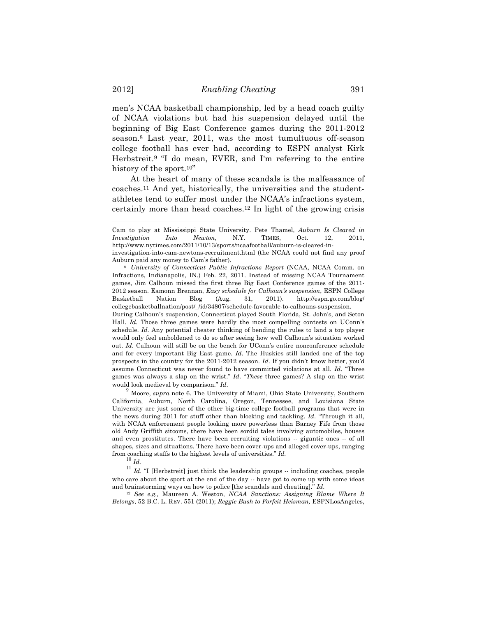men's NCAA basketball championship, led by a head coach guilty of NCAA violations but had his suspension delayed until the beginning of Big East Conference games during the 2011-2012 season.8 Last year, 2011, was the most tumultuous off-season college football has ever had, according to ESPN analyst Kirk Herbstreit.9 "I do mean, EVER, and I'm referring to the entire history of the sport.<sup>10"</sup>

At the heart of many of these scandals is the malfeasance of coaches.11 And yet, historically, the universities and the studentathletes tend to suffer most under the NCAA's infractions system, certainly more than head coaches.12 In light of the growing crisis

<sup>9</sup> Moore, *supra* note 6. The University of Miami, Ohio State University, Southern California, Auburn, North Carolina, Oregon, Tennessee, and Louisiana State University are just some of the other big-time college football programs that were in the news during 2011 for stuff other than blocking and tackling. *Id*. "Through it all, with NCAA enforcement people looking more powerless than Barney Fife from those old Andy Griffith sitcoms, there have been sordid tales involving automobiles, houses and even prostitutes. There have been recruiting violations -- gigantic ones -- of all shapes, sizes and situations. There have been cover-ups and alleged cover-ups, ranging from coaching staffs to the highest levels of universities." Id.  $^{10}$   $\mathit{Id}.$ 

 $11$  *Id.* "I [Herbstreit] just think the leadership groups  $-$  including coaches, people who care about the sport at the end of the day -- have got to come up with some ideas and brainstorming ways on how to police [the scandals and cheating]." *Id*.

<sup>12</sup> *See e.g.,* Maureen A. Weston, *NCAA Sanctions: Assigning Blame Where It Belongs*, 52 B.C. L. REV. 551 (2011); *Reggie Bush to Forfeit Heisman,* ESPNLosAngeles,

Cam to play at Mississippi State University. Pete Thamel, *Auburn Is Cleared in Investigation Into Newton*, N.Y. TIMES, Oct. 12, 2011, http://www.nytimes.com/2011/10/13/sports/ncaafootball/auburn-is-cleared-ininvestigation-into-cam-newtons-recruitment.html (the NCAA could not find any proof Auburn paid any money to Cam's father).

<sup>8</sup> *University of Connecticut Public Infractions Report* (NCAA, NCAA Comm. on Infractions, Indianapolis, IN.) Feb. 22, 2011. Instead of missing NCAA Tournament games, Jim Calhoun missed the first three Big East Conference games of the 2011- 2012 season. Eamonn Brennan, *Easy schedule for Calhoun's suspension*, ESPN College Basketball Nation Blog (Aug. 31, 2011). http://espn.go.com/blog/ collegebasketballnation/post/\_/id/34807/schedule-favorable-to-calhouns-suspension. During Calhoun's suspension, Connecticut played South Florida, St. John's, and Seton Hall. *Id.* Those three games were hardly the most compelling contests on UConn's schedule. *Id.* Any potential cheater thinking of bending the rules to land a top player would only feel emboldened to do so after seeing how well Calhoun's situation worked out. *Id*. Calhoun will still be on the bench for UConn's entire nonconference schedule and for every important Big East game. *Id*. The Huskies still landed one of the top prospects in the country for the 2011-2012 season. *Id*. If you didn't know better, you'd assume Connecticut was never found to have committed violations at all. *Id*. "Three games was always a slap on the wrist." *Id*. "*These* three games? A slap on the wrist would look medieval by comparison." *Id*.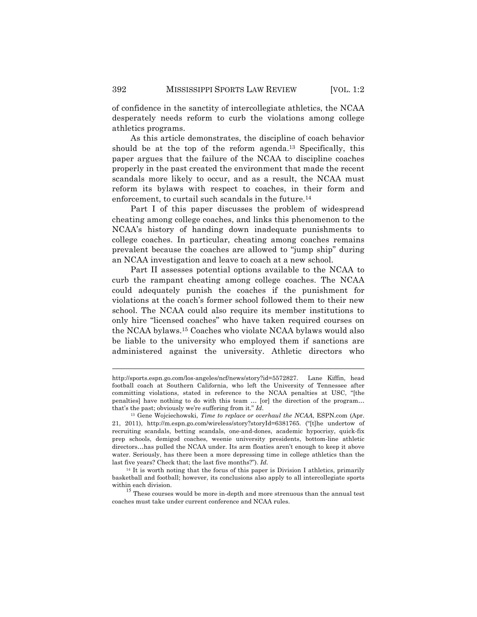of confidence in the sanctity of intercollegiate athletics, the NCAA desperately needs reform to curb the violations among college athletics programs.

As this article demonstrates, the discipline of coach behavior should be at the top of the reform agenda.13 Specifically, this paper argues that the failure of the NCAA to discipline coaches properly in the past created the environment that made the recent scandals more likely to occur, and as a result, the NCAA must reform its bylaws with respect to coaches, in their form and enforcement, to curtail such scandals in the future.14

Part I of this paper discusses the problem of widespread cheating among college coaches, and links this phenomenon to the NCAA's history of handing down inadequate punishments to college coaches. In particular, cheating among coaches remains prevalent because the coaches are allowed to "jump ship" during an NCAA investigation and leave to coach at a new school.

Part II assesses potential options available to the NCAA to curb the rampant cheating among college coaches. The NCAA could adequately punish the coaches if the punishment for violations at the coach's former school followed them to their new school. The NCAA could also require its member institutions to only hire "licensed coaches" who have taken required courses on the NCAA bylaws.15 Coaches who violate NCAA bylaws would also be liable to the university who employed them if sanctions are administered against the university. Athletic directors who

http://sports.espn.go.com/los-angeles/ncf/news/story?id=5572827. Lane Kiffin, head football coach at Southern California, who left the University of Tennessee after committing violations, stated in reference to the NCAA penalties at USC, "[the penalties] have nothing to do with this team … [or] the direction of the program… that's the past; obviously we're suffering from it." *Id*.

<sup>13</sup> Gene Wojciechowski, *Time to replace or overhaul the NCAA*, ESPN.com (Apr. 21, 2011), http://m.espn.go.com/wireless/story?storyId=6381765. ("[t]he undertow of recruiting scandals, betting scandals, one-and-dones, academic hypocrisy, quick-fix prep schools, demigod coaches, weenie university presidents, bottom-line athletic directors…has pulled the NCAA under. Its arm floaties aren't enough to keep it above water. Seriously, has there been a more depressing time in college athletics than the last five years? Check that; the last five months?"). *Id.* 

<sup>14</sup> It is worth noting that the focus of this paper is Division I athletics, primarily basketball and football; however, its conclusions also apply to all intercollegiate sports within each division.<br><sup>15</sup> These courses would be more in-depth and more strenuous than the annual test

coaches must take under current conference and NCAA rules.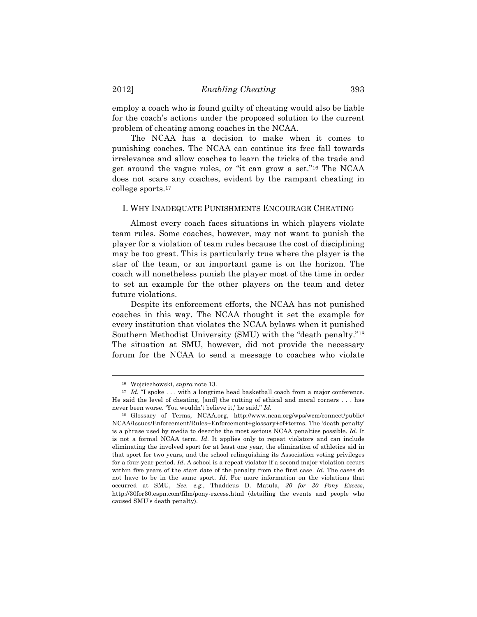employ a coach who is found guilty of cheating would also be liable for the coach's actions under the proposed solution to the current problem of cheating among coaches in the NCAA.

The NCAA has a decision to make when it comes to punishing coaches. The NCAA can continue its free fall towards irrelevance and allow coaches to learn the tricks of the trade and get around the vague rules, or "it can grow a set."16 The NCAA does not scare any coaches, evident by the rampant cheating in college sports.17

#### I. WHY INADEQUATE PUNISHMENTS ENCOURAGE CHEATING

Almost every coach faces situations in which players violate team rules. Some coaches, however, may not want to punish the player for a violation of team rules because the cost of disciplining may be too great. This is particularly true where the player is the star of the team, or an important game is on the horizon. The coach will nonetheless punish the player most of the time in order to set an example for the other players on the team and deter future violations.

Despite its enforcement efforts, the NCAA has not punished coaches in this way. The NCAA thought it set the example for every institution that violates the NCAA bylaws when it punished Southern Methodist University (SMU) with the "death penalty."18 The situation at SMU, however, did not provide the necessary forum for the NCAA to send a message to coaches who violate

<sup>16</sup> Wojciechowski, *supra* note 13.

<sup>&</sup>lt;sup>17</sup> *Id.* "I spoke . . . with a longtime head basketball coach from a major conference. He said the level of cheating, [and] the cutting of ethical and moral corners . . . has never been worse. 'You wouldn't believe it,' he said." *Id.*

<sup>18</sup> Glossary of Terms, NCAA.org, http://www.ncaa.org/wps/wcm/connect/public/ NCAA/Issues/Enforcement/Rules+Enforcement+glossary+of+terms. The 'death penalty' is a phrase used by media to describe the most serious NCAA penalties possible. *Id*. It is not a formal NCAA term. *Id*. It applies only to repeat violators and can include eliminating the involved sport for at least one year, the elimination of athletics aid in that sport for two years, and the school relinquishing its Association voting privileges for a four-year period. *Id*. A school is a repeat violator if a second major violation occurs within five years of the start date of the penalty from the first case. *Id*. The cases do not have to be in the same sport. *Id*. For more information on the violations that occurred at SMU, *See, e.g.,* Thaddeus D. Matula, *30 for 30 Pony Excess*, http://30for30.espn.com/film/pony-excess.html (detailing the events and people who caused SMU's death penalty).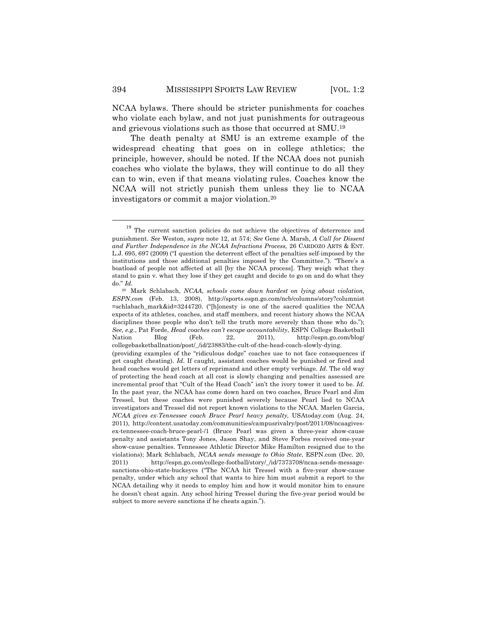NCAA bylaws. There should be stricter punishments for coaches who violate each bylaw, and not just punishments for outrageous and grievous violations such as those that occurred at SMU.19

The death penalty at SMU is an extreme example of the widespread cheating that goes on in college athletics; the principle, however, should be noted. If the NCAA does not punish coaches who violate the bylaws, they will continue to do all they can to win, even if that means violating rules. Coaches know the NCAA will not strictly punish them unless they lie to NCAA investigators or commit a major violation.20

<sup>&</sup>lt;sup>19</sup> The current sanction policies do not achieve the objectives of deterrence and punishment. *See* Weston, *supra* note 12, at 574; *See* Gene A. Marsh, *A Call for Dissent and Further Independence in the NCAA Infractions Process,* 26 CARDOZO ARTS & ENT. L.J. 695, 697 (2009) ("I question the deterrent effect of the penalties self-imposed by the institutions and those additional penalties imposed by the Committee."). "There's a boatload of people not affected at all [by the NCAA process]. They weigh what they stand to gain v. what they lose if they get caught and decide to go on and do what they do." *Id*.

<sup>20</sup> Mark Schlabach, *NCAA, schools come down hardest on lying about violation, ESPN.com* (Feb. 13, 2008), http://sports.espn.go.com/ncb/columns/story?columnist  $=$ schlabach mark $\&$ id=3244720. ("[h]onesty is one of the sacred qualities the NCAA expects of its athletes, coaches, and staff members, and recent history shows the NCAA disciplines those people who don't tell the truth more severely than those who do."); *See, e.g.*, Pat Forde, *Head coaches can't escape accountability*, ESPN College Basketball Nation Blog (Feb. 22, 2011), http://espn.go.com/blog/ collegebasketballnation/post/\_/id/23883/the-cult-of-the-head-coach-slowly-dying. (providing examples of the "ridiculous dodge" coaches use to not face consequences if get caught cheating). *Id*. If caught, assistant coaches would be punished or fired and head coaches would get letters of reprimand and other empty verbiage. *Id*. The old way of protecting the head coach at all cost is slowly changing and penalties assessed are incremental proof that "Cult of the Head Coach" isn't the ivory tower it used to be. *Id*. In the past year, the NCAA has come down hard on two coaches, Bruce Pearl and Jim Tressel, but these coaches were punished severely because Pearl lied to NCAA investigators and Tressel did not report known violations to the NCAA. Marlen Garcia, *NCAA gives ex-Tennessee coach Bruce Pearl heavy penalty,* USAtoday.com (Aug. 24, 2011), http://content.usatoday.com/communities/campusrivalry/post/2011/08/ncaagivesex-tennessee-coach-bruce-pearl-/1 (Bruce Pearl was given a three-year show-cause penalty and assistants Tony Jones, Jason Shay, and Steve Forbes received one-year show-cause penalties. Tennessee Athletic Director Mike Hamilton resigned due to the violations); Mark Schlabach, *NCAA sends message to Ohio State*, ESPN.com (Dec. 20, 2011) http://espn.go.com/college-football/story/\_/id/7373708/ncaa-sends-messagesanctions-ohio-state-buckeyes ("The NCAA hit Tressel with a five-year show-cause penalty, under which any school that wants to hire him must submit a report to the NCAA detailing why it needs to employ him and how it would monitor him to ensure he doesn't cheat again. Any school hiring Tressel during the five-year period would be subject to more severe sanctions if he cheats again.").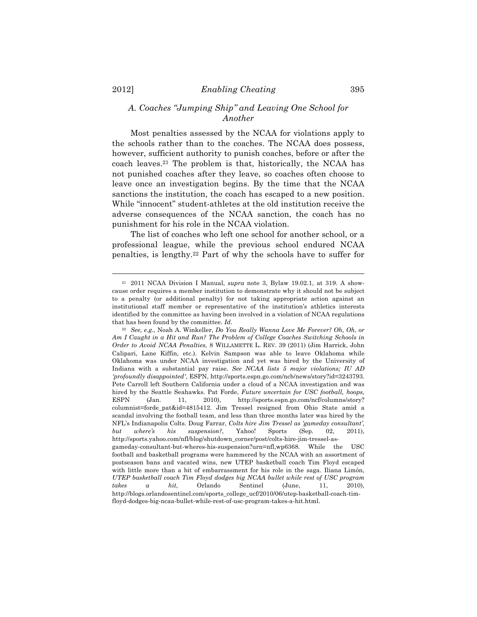# *A. Coaches "Jumping Ship" and Leaving One School for Another*

Most penalties assessed by the NCAA for violations apply to the schools rather than to the coaches. The NCAA does possess, however, sufficient authority to punish coaches, before or after the coach leaves.21 The problem is that, historically, the NCAA has not punished coaches after they leave, so coaches often choose to leave once an investigation begins. By the time that the NCAA sanctions the institution, the coach has escaped to a new position. While "innocent" student-athletes at the old institution receive the adverse consequences of the NCAA sanction, the coach has no punishment for his role in the NCAA violation.

The list of coaches who left one school for another school, or a professional league, while the previous school endured NCAA penalties, is lengthy.22 Part of why the schools have to suffer for

<sup>21</sup> 2011 NCAA Division I Manual, *supra* note 3, Bylaw 19.02.1, at 319. A showcause order requires a member institution to demonstrate why it should not be subject to a penalty (or additional penalty) for not taking appropriate action against an institutional staff member or representative of the institution's athletics interests identified by the committee as having been involved in a violation of NCAA regulations that has been found by the committee. *Id*.

<sup>22</sup> *See, e.g.,* Noah A. Winkeller, *Do You Really Wanna Love Me Forever? Oh, Oh, or Am I Caught in a Hit and Run? The Problem of College Coaches Switching Schools in Order to Avoid NCAA Penalties*, 8 WILLAMETTE L. REV. 39 (2011) (Jim Harrick, John Calipari, Lane Kiffin, etc.). Kelvin Sampson was able to leave Oklahoma while Oklahoma was under NCAA investigation and yet was hired by the University of Indiana with a substantial pay raise. *See NCAA lists 5 major violations; IU AD 'profoundly disappointed'*, ESPN, http://sports.espn.go.com/ncb/news/story?id=3243793. Pete Carroll left Southern California under a cloud of a NCAA investigation and was hired by the Seattle Seahawks. Pat Forde, *Future uncertain for USC football, hoops,*  ESPN (Jan. 11, 2010), http://sports.espn.go.com/ncf/columns/story? columnist=forde\_pat&id=4815412. Jim Tressel resigned from Ohio State amid a scandal involving the football team, and less than three months later was hired by the NFL's Indianapolis Colts. Doug Farrar, *Colts hire Jim Tressel as 'gameday consultant', but where's his suspension?*, Yahoo! Sports (Sep. 02, 2011), http://sports.yahoo.com/nfl/blog/shutdown\_corner/post/colts-hire-jim-tressel-asgameday-consultant-but-wheres-his-suspension?urn=nfl,wp6368. While the USC football and basketball programs were hammered by the NCAA with an assortment of postseason bans and vacated wins, new UTEP basketball coach Tim Floyd escaped with little more than a bit of embarrassment for his role in the saga. Iliana Limón, *UTEP basketball coach Tim Floyd dodges big NCAA bullet while rest of USC program takes a hit,* Orlando Sentinel (June, 11, 2010), http://blogs.orlandosentinel.com/sports\_college\_ucf/2010/06/utep-basketball-coach-timfloyd-dodges-big-ncaa-bullet-while-rest-of-usc-program-takes-a-hit.html.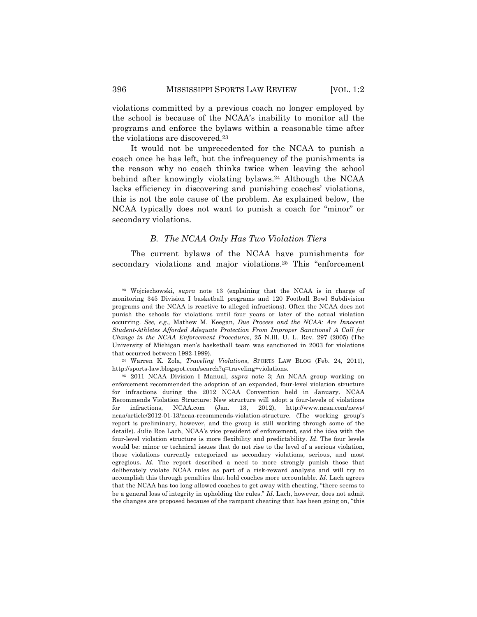violations committed by a previous coach no longer employed by the school is because of the NCAA's inability to monitor all the programs and enforce the bylaws within a reasonable time after the violations are discovered.23

It would not be unprecedented for the NCAA to punish a coach once he has left, but the infrequency of the punishments is the reason why no coach thinks twice when leaving the school behind after knowingly violating bylaws.24 Although the NCAA lacks efficiency in discovering and punishing coaches' violations, this is not the sole cause of the problem. As explained below, the NCAA typically does not want to punish a coach for "minor" or secondary violations.

## *B. The NCAA Only Has Two Violation Tiers*

The current bylaws of the NCAA have punishments for secondary violations and major violations.<sup>25</sup> This "enforcement

<sup>23</sup> Wojciechowski, *supra* note 13 (explaining that the NCAA is in charge of monitoring 345 Division I basketball programs and 120 Football Bowl Subdivision programs and the NCAA is reactive to alleged infractions). Often the NCAA does not punish the schools for violations until four years or later of the actual violation occurring. *See, e.g.,* Mathew M. Keegan, *Due Process and the NCAA: Are Innocent Student-Athletes Afforded Adequate Protection From Improper Sanctions? A Call for Change in the NCAA Enforcement Procedures*, 25 N.Ill. U. L. Rev. 297 (2005) (The University of Michigan men's basketball team was sanctioned in 2003 for violations that occurred between 1992-1999).

<sup>24</sup> Warren K. Zola, *Traveling Violations*, SPORTS LAW BLOG (Feb. 24, 2011), http://sports-law.blogspot.com/search?q=traveling+violations.

<sup>25</sup> 2011 NCAA Division I Manual, *supra* note 3; An NCAA group working on enforcement recommended the adoption of an expanded, four-level violation structure for infractions during the 2012 NCAA Convention held in January. NCAA Recommends Violation Structure: New structure will adopt a four-levels of violations for infractions, NCAA.com (Jan. 13, 2012), http://www.ncaa.com/news/ ncaa/article/2012-01-13/ncaa-recommends-violation-structure. (The working group's report is preliminary, however, and the group is still working through some of the details). Julie Roe Lach, NCAA's vice president of enforcement, said the idea with the four-level violation structure is more flexibility and predictability. *Id*. The four levels would be: minor or technical issues that do not rise to the level of a serious violation, those violations currently categorized as secondary violations, serious, and most egregious. *Id*. The report described a need to more strongly punish those that deliberately violate NCAA rules as part of a risk-reward analysis and will try to accomplish this through penalties that hold coaches more accountable. *Id*. Lach agrees that the NCAA has too long allowed coaches to get away with cheating, "there seems to be a general loss of integrity in upholding the rules." *Id*. Lach, however, does not admit the changes are proposed because of the rampant cheating that has been going on, "this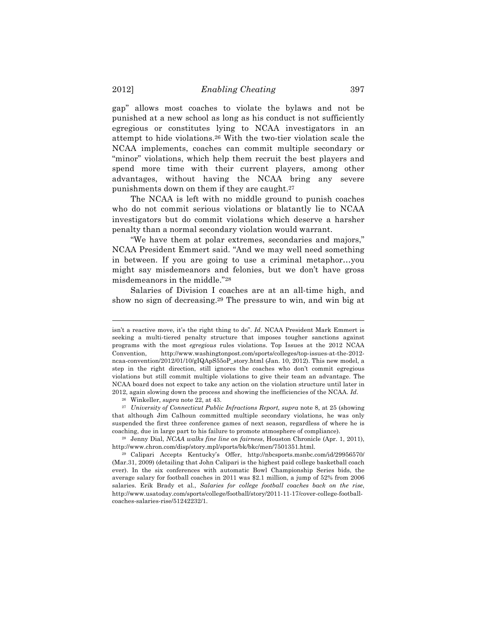gap" allows most coaches to violate the bylaws and not be punished at a new school as long as his conduct is not sufficiently egregious or constitutes lying to NCAA investigators in an attempt to hide violations.26 With the two-tier violation scale the NCAA implements, coaches can commit multiple secondary or "minor" violations, which help them recruit the best players and spend more time with their current players, among other advantages, without having the NCAA bring any severe punishments down on them if they are caught.27

The NCAA is left with no middle ground to punish coaches who do not commit serious violations or blatantly lie to NCAA investigators but do commit violations which deserve a harsher penalty than a normal secondary violation would warrant.

"We have them at polar extremes, secondaries and majors," NCAA President Emmert said. "And we may well need something in between. If you are going to use a criminal metaphor…you might say misdemeanors and felonies, but we don't have gross misdemeanors in the middle."28

Salaries of Division I coaches are at an all-time high, and show no sign of decreasing.29 The pressure to win, and win big at

isn't a reactive move, it's the right thing to do". *Id*. NCAA President Mark Emmert is seeking a multi-tiered penalty structure that imposes tougher sanctions against programs with the most *egregious* rules violations. Top Issues at the 2012 NCAA Convention, http://www.washingtonpost.com/sports/colleges/top-issues-at-the-2012 ncaa-convention/2012/01/10/gIQApS55oP\_story.html (Jan. 10, 2012). This new model, a step in the right direction, still ignores the coaches who don't commit egregious violations but still commit multiple violations to give their team an advantage. The NCAA board does not expect to take any action on the violation structure until later in 2012, again slowing down the process and showing the inefficiencies of the NCAA. *Id*.

<sup>26</sup> Winkeller, *supra* note 22, at 43.

<sup>27</sup> *University of Connecticut Public Infractions Report, supra* note 8, at 25 (showing that although Jim Calhoun committed multiple secondary violations, he was only suspended the first three conference games of next season, regardless of where he is coaching, due in large part to his failure to promote atmosphere of compliance).

<sup>28</sup> Jenny Dial, *NCAA walks fine line on fairness*, Houston Chronicle (Apr. 1, 2011), http://www.chron.com/disp/story.mpl/sports/bk/bkc/men/7501351.html.

<sup>29</sup> Calipari Accepts Kentucky's Offer, http://nbcsports.msnbc.com/id/29956570/ (Mar.31, 2009) (detailing that John Calipari is the highest paid college basketball coach ever). In the six conferences with automatic Bowl Championship Series bids, the average salary for football coaches in 2011 was \$2.1 million, a jump of 52% from 2006 salaries. Erik Brady et al., *Salaries for college football coaches back on the rise*, http://www.usatoday.com/sports/college/football/story/2011-11-17/cover-college-footballcoaches-salaries-rise/51242232/1.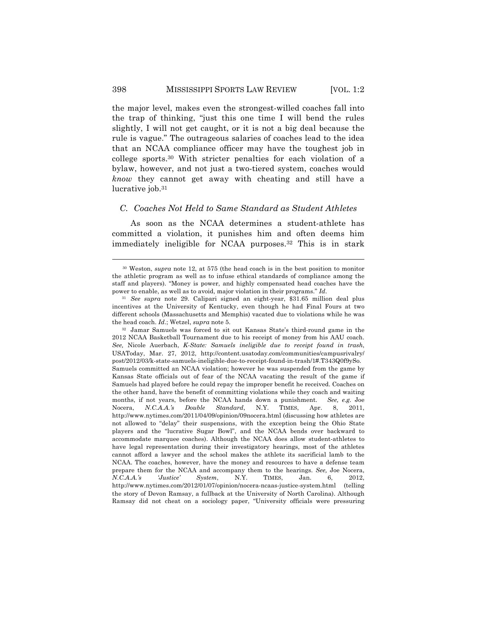# 398 MISSISSIPPI SPORTS LAW REVIEW [VOL. 1:2

the major level, makes even the strongest-willed coaches fall into the trap of thinking, "just this one time I will bend the rules slightly, I will not get caught, or it is not a big deal because the rule is vague." The outrageous salaries of coaches lead to the idea that an NCAA compliance officer may have the toughest job in college sports.30 With stricter penalties for each violation of a bylaw, however, and not just a two-tiered system, coaches would *know* they cannot get away with cheating and still have a lucrative job.31

#### *C. Coaches Not Held to Same Standard as Student Athletes*

As soon as the NCAA determines a student-athlete has committed a violation, it punishes him and often deems him immediately ineligible for NCAA purposes.32 This is in stark

<sup>30</sup> Weston, *supra* note 12, at 575 (the head coach is in the best position to monitor the athletic program as well as to infuse ethical standards of compliance among the staff and players). "Money is power, and highly compensated head coaches have the power to enable, as well as to avoid, major violation in their programs." *Id*.

<sup>31</sup> *See supra* note 29. Calipari signed an eight-year, \$31.65 million deal plus incentives at the University of Kentucky, even though he had Final Fours at two different schools (Massachusetts and Memphis) vacated due to violations while he was the head coach. *Id*.; Wetzel, *supra* note 5.

<sup>32</sup> Jamar Samuels was forced to sit out Kansas State's third-round game in the 2012 NCAA Basketball Tournament due to his receipt of money from his AAU coach. *See,* Nicole Auerbach, *K-State: Samuels ineligible due to receipt found in trash*, USAToday, Mar. 27, 2012, http://content.usatoday.com/communities/campusrivalry/ post/2012/03/k-state-samuels-ineligible-due-to-receipt-found-in-trash/1#.T343Q0f9ySo. Samuels committed an NCAA violation; however he was suspended from the game by Kansas State officials out of fear of the NCAA vacating the result of the game if Samuels had played before he could repay the improper benefit he received. Coaches on the other hand, have the benefit of committing violations while they coach and waiting months, if not years, before the NCAA hands down a punishment. *See, e.g.* Joe Nocera, *N.C.A.A.'s Double Standard*, N.Y. TIMES, Apr. 8, 2011, http://www.nytimes.com/2011/04/09/opinion/09nocera.html (discussing how athletes are not allowed to "delay" their suspensions, with the exception being the Ohio State players and the "lucrative Sugar Bowl", and the NCAA bends over backward to accommodate marquee coaches). Although the NCAA does allow student-athletes to have legal representation during their investigatory hearings, most of the athletes cannot afford a lawyer and the school makes the athlete its sacrificial lamb to the NCAA. The coaches, however, have the money and resources to have a defense team prepare them for the NCAA and accompany them to the hearings. *See,* Joe Nocera, *N.C.A.A.'s 'Justice' System*, N.Y. TIMES, Jan. 6, 2012, http://www.nytimes.com/2012/01/07/opinion/nocera-ncaas-justice-system.html (telling the story of Devon Ramsay, a fullback at the University of North Carolina). Although Ramsay did not cheat on a sociology paper, "University officials were pressuring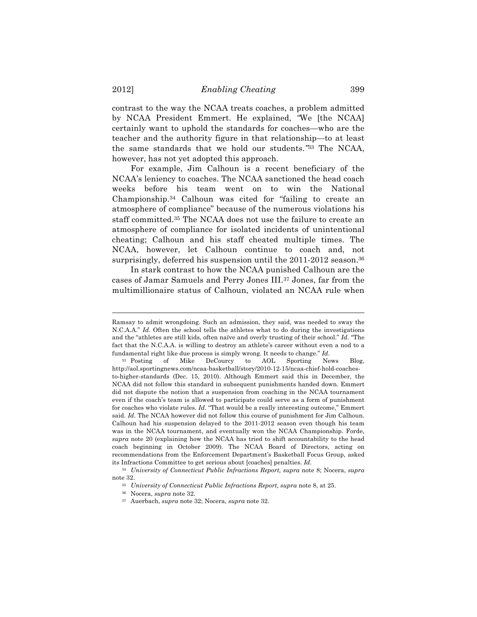contrast to the way the NCAA treats coaches, a problem admitted by NCAA President Emmert. He explained, *"*We [the NCAA] certainly want to uphold the standards for coaches*—*who are the teacher and the authority figure in that relationship*—*to at least the same standards that we hold our students.*"*33 The NCAA, however, has not yet adopted this approach.

For example, Jim Calhoun is a recent beneficiary of the NCAA's leniency to coaches. The NCAA sanctioned the head coach weeks before his team went on to win the National Championship.34 Calhoun was cited for "failing to create an atmosphere of compliance" because of the numerous violations his staff committed.35 The NCAA does not use the failure to create an atmosphere of compliance for isolated incidents of unintentional cheating; Calhoun and his staff cheated multiple times. The NCAA, however, let Calhoun continue to coach and, not surprisingly, deferred his suspension until the 2011-2012 season.<sup>36</sup>

In stark contrast to how the NCAA punished Calhoun are the cases of Jamar Samuels and Perry Jones III.37 Jones, far from the multimillionaire status of Calhoun, violated an NCAA rule when

Ramsay to admit wrongdoing. Such an admission, they said, was needed to sway the N.C.A.A." *Id*. Often the school tells the athletes what to do during the investigations and the "athletes are still kids, often naïve and overly trusting of their school." *Id*. "The fact that the N.C.A.A. is willing to destroy an athlete's career without even a nod to a fundamental right like due process is simply wrong. It needs to change." *Id*.

<sup>33</sup> Posting of Mike DeCourcy to AOL Sporting News Blog, http://aol.sportingnews.com/ncaa-basketball/story/2010-12-15/ncaa-chief-hold-coachesto-higher-standards (Dec. 15, 2010). Although Emmert said this in December, the NCAA did not follow this standard in subsequent punishments handed down. Emmert did not dispute the notion that a suspension from coaching in the NCAA tournament even if the coach's team is allowed to participate could serve as a form of punishment for coaches who violate rules. *Id*. "That would be a really interesting outcome," Emmert said. *Id*. The NCAA however did not follow this course of punishment for Jim Calhoun. Calhoun had his suspension delayed to the 2011-2012 season even though his team was in the NCAA tournament, and eventually won the NCAA Championship. Forde, *supra* note 20 (explaining how the NCAA has tried to shift accountability to the head coach beginning in October 2009). The NCAA Board of Directors, acting on recommendations from the Enforcement Department's Basketball Focus Group, asked its Infractions Committee to get serious about [coaches] penalties. *Id*.

<sup>34</sup> *University of Connecticut Public Infractions Report, supra* note 8; Nocera, *supra*  note 32.

<sup>35</sup> *University of Connecticut Public Infractions Report, supra* note 8, at 25.

<sup>36</sup> Nocera, *supra* note 32.

<sup>37</sup> Auerbach, *supra* note 32; Nocera, *supra* note 32.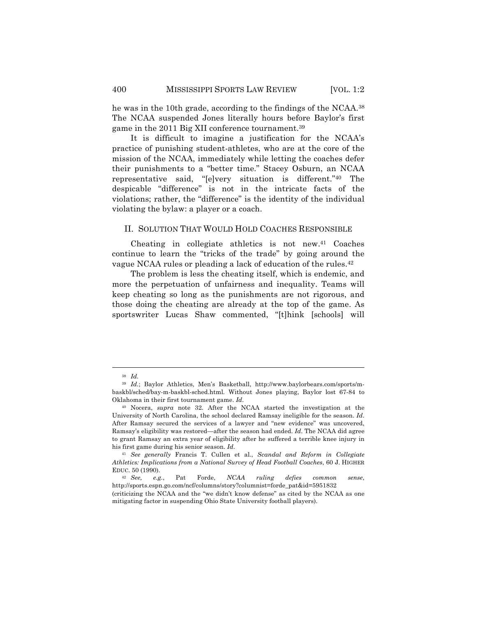he was in the 10th grade, according to the findings of the NCAA.38 The NCAA suspended Jones literally hours before Baylor's first game in the 2011 Big XII conference tournament.39

It is difficult to imagine a justification for the NCAA's practice of punishing student-athletes, who are at the core of the mission of the NCAA, immediately while letting the coaches defer their punishments to a "better time." Stacey Osburn, an NCAA representative said, "[e]very situation is different."40 The despicable "difference" is not in the intricate facts of the violations; rather, the "difference" is the identity of the individual violating the bylaw: a player or a coach.

#### II. SOLUTION THAT WOULD HOLD COACHES RESPONSIBLE

Cheating in collegiate athletics is not new.41 Coaches continue to learn the "tricks of the trade" by going around the vague NCAA rules or pleading a lack of education of the rules.42

The problem is less the cheating itself, which is endemic, and more the perpetuation of unfairness and inequality. Teams will keep cheating so long as the punishments are not rigorous, and those doing the cheating are already at the top of the game. As sportswriter Lucas Shaw commented, "[t]hink [schools] will

<sup>38</sup> *Id.*

<sup>39</sup> *Id.*; Baylor Athletics, Men's Basketball, http://www.baylorbears.com/sports/mbaskbl/sched/bay-m-baskbl-sched.html*.* Without Jones playing, Baylor lost 67-84 to Oklahoma in their first tournament game. *Id*.

<sup>40</sup> Nocera, *supra* note 32. After the NCAA started the investigation at the University of North Carolina, the school declared Ramsay ineligible for the season. *Id*. After Ramsay secured the services of a lawyer and "new evidence" was uncovered, Ramsay's eligibility was restored—after the season had ended. *Id*. The NCAA did agree to grant Ramsay an extra year of eligibility after he suffered a terrible knee injury in his first game during his senior season. *Id*.

<sup>41</sup> *See generally* Francis T. Cullen et al., *Scandal and Reform in Collegiate Athletics: Implications from a National Survey of Head Football Coaches*, 60 J. HIGHER EDUC. 50 (1990).

<sup>42</sup> *See, e.g.*, Pat Forde, *NCAA ruling defies common sense*, http://sports.espn.go.com/ncf/columns/story?columnist=forde\_pat&id=5951832

<sup>(</sup>criticizing the NCAA and the "we didn't know defense" as cited by the NCAA as one mitigating factor in suspending Ohio State University football players).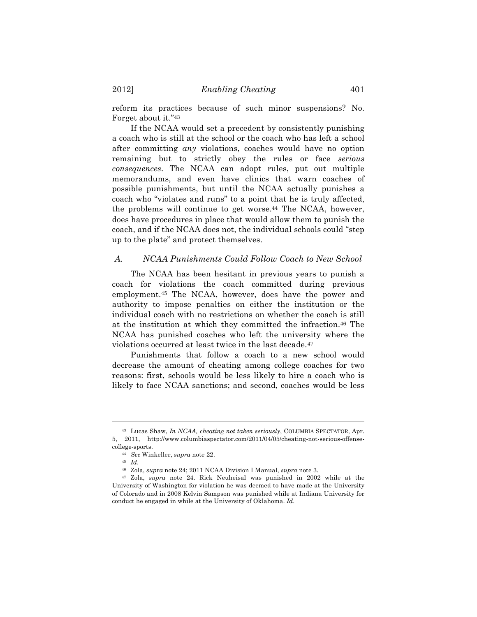reform its practices because of such minor suspensions? No. Forget about it."43

If the NCAA would set a precedent by consistently punishing a coach who is still at the school or the coach who has left a school after committing *any* violations, coaches would have no option remaining but to strictly obey the rules or face *serious consequences*. The NCAA can adopt rules, put out multiple memorandums, and even have clinics that warn coaches of possible punishments, but until the NCAA actually punishes a coach who "violates and runs" to a point that he is truly affected, the problems will continue to get worse.44 The NCAA, however, does have procedures in place that would allow them to punish the coach, and if the NCAA does not, the individual schools could "step up to the plate" and protect themselves.

## *A. NCAA Punishments Could Follow Coach to New School*

The NCAA has been hesitant in previous years to punish a coach for violations the coach committed during previous employment.45 The NCAA, however, does have the power and authority to impose penalties on either the institution or the individual coach with no restrictions on whether the coach is still at the institution at which they committed the infraction.46 The NCAA has punished coaches who left the university where the violations occurred at least twice in the last decade.47

Punishments that follow a coach to a new school would decrease the amount of cheating among college coaches for two reasons: first, schools would be less likely to hire a coach who is likely to face NCAA sanctions; and second, coaches would be less

<sup>43</sup> Lucas Shaw, *In NCAA, cheating not taken seriously*, COLUMBIA SPECTATOR, Apr. 5, 2011, http://www.columbiaspectator.com/2011/04/05/cheating-not-serious-offensecollege-sports.

<sup>44</sup> *See* Winkeller, *supra* note 22.

<sup>45</sup> *Id*.

<sup>46</sup> Zola, *supra* note 24; 2011 NCAA Division I Manual, *supra* note 3.

<sup>47</sup> Zola, *supra* note 24. Rick Neuheisal was punished in 2002 while at the University of Washington for violation he was deemed to have made at the University of Colorado and in 2008 Kelvin Sampson was punished while at Indiana University for conduct he engaged in while at the University of Oklahoma. *Id*.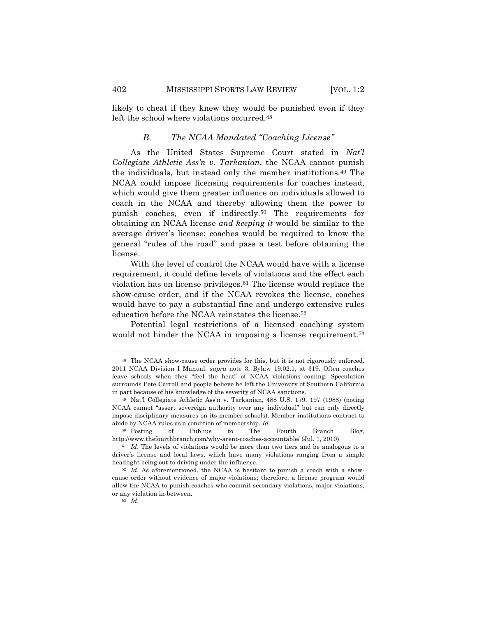likely to cheat if they knew they would be punished even if they left the school where violations occurred.48

# *B. The NCAA Mandated "Coaching License"*

As the United States Supreme Court stated in *Nat'l Collegiate Athletic Ass'n v. Tarkanian*, the NCAA cannot punish the individuals, but instead only the member institutions.49 The NCAA could impose licensing requirements for coaches instead, which would give them greater influence on individuals allowed to coach in the NCAA and thereby allowing them the power to punish coaches, even if indirectly.50 The requirements for obtaining an NCAA license *and keeping it* would be similar to the average driver's license: coaches would be required to know the general "rules of the road" and pass a test before obtaining the license.

With the level of control the NCAA would have with a license requirement, it could define levels of violations and the effect each violation has on license privileges.51 The license would replace the show-cause order, and if the NCAA revokes the license, coaches would have to pay a substantial fine and undergo extensive rules education before the NCAA reinstates the license.52

Potential legal restrictions of a licensed coaching system would not hinder the NCAA in imposing a license requirement.<sup>53</sup>

<sup>48</sup> The NCAA show-cause order provides for this, but it is not rigorously enforced. 2011 NCAA Division I Manual, *supra* note 3, Bylaw 19.02.1, at 319. Often coaches leave schools when they "feel the heat" of NCAA violations coming. Speculation surrounds Pete Carroll and people believe he left the University of Southern California in part because of his knowledge of the severity of NCAA sanctions.

<sup>49</sup> Nat'l Collegiate Athletic Ass'n v. Tarkanian, 488 U.S. 179, 197 (1988) (noting NCAA cannot "assert sovereign authority over any individual" but can only directly impose disciplinary measures on its member schools). Member institutions contract to abide by NCAA rules as a condition of membership. *Id.* 

<sup>50</sup> Posting of Publius to The Fourth Branch Blog, http://www.thefourthbranch.com/why-arent-coaches-accountable/ (Jul. 1, 2010).

<sup>51</sup> *Id*. The levels of violations would be more than two tiers and be analogous to a driver's license and local laws, which have many violations ranging from a simple headlight being out to driving under the influence.

<sup>52</sup> *Id*. As aforementioned, the NCAA is hesitant to punish a coach with a showcause order without evidence of major violations; therefore, a license program would allow the NCAA to punish coaches who commit secondary violations, major violations, or any violation in-between.

<sup>53</sup> *Id*.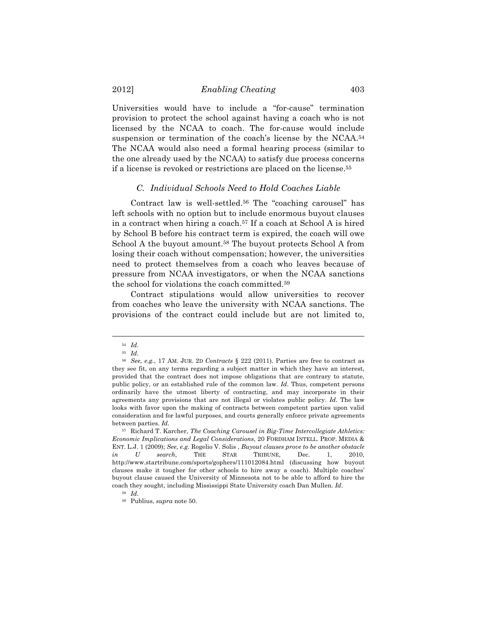Universities would have to include a "for-cause" termination provision to protect the school against having a coach who is not licensed by the NCAA to coach. The for-cause would include suspension or termination of the coach's license by the NCAA.<sup>54</sup> The NCAA would also need a formal hearing process (similar to the one already used by the NCAA) to satisfy due process concerns if a license is revoked or restrictions are placed on the license.55

# *C. Individual Schools Need to Hold Coaches Liable*

Contract law is well-settled.56 The "coaching carousel" has left schools with no option but to include enormous buyout clauses in a contract when hiring a coach.57 If a coach at School A is hired by School B before his contract term is expired, the coach will owe School A the buyout amount.<sup>58</sup> The buyout protects School A from losing their coach without compensation; however, the universities need to protect themselves from a coach who leaves because of pressure from NCAA investigators, or when the NCAA sanctions the school for violations the coach committed.59

Contract stipulations would allow universities to recover from coaches who leave the university with NCAA sanctions. The provisions of the contract could include but are not limited to,

<sup>54</sup> *Id*.

<sup>55</sup> *Id*.

<sup>56</sup> *See, e.g.*, 17 AM. JUR. 2D *Contracts* § 222 (2011). Parties are free to contract as they see fit, on any terms regarding a subject matter in which they have an interest, provided that the contract does not impose obligations that are contrary to statute, public policy, or an established rule of the common law. *Id*. Thus, competent persons ordinarily have the utmost liberty of contracting, and may incorporate in their agreements any provisions that are not illegal or violates public policy. *Id*. The law looks with favor upon the making of contracts between competent parties upon valid consideration and for lawful purposes, and courts generally enforce private agreements between parties. *Id*.

<sup>57</sup> Richard T. Karcher, *The Coaching Carousel in Big-Time Intercollegiate Athletics: Economic Implications and Legal Considerations*, 20 FORDHAM INTELL. PROP. MEDIA & ENT. L.J. 1 (2009); *See, e.g.* Rogelio V. Solis , *Buyout clauses prove to be another obstacle in U search*, THE STAR TRIBUNE, Dec. 1, 2010, http://www.startribune.com/sports/gophers/111012084.html (discussing how buyout clauses make it tougher for other schools to hire away a coach). Multiple coaches' buyout clause caused the University of Minnesota not to be able to afford to hire the coach they sought, including Mississippi State University coach Dan Mullen. *Id*.

<sup>58</sup> *Id*.

<sup>59</sup> Publius, *supra* note 50.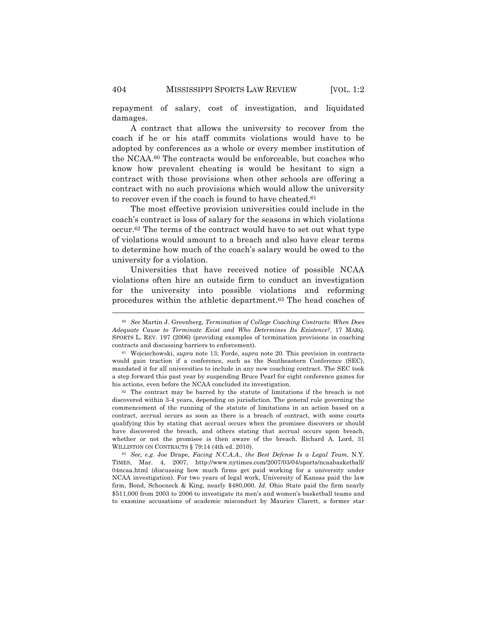repayment of salary, cost of investigation, and liquidated damages.

A contract that allows the university to recover from the coach if he or his staff commits violations would have to be adopted by conferences as a whole or every member institution of the NCAA.60 The contracts would be enforceable, but coaches who know how prevalent cheating is would be hesitant to sign a contract with those provisions when other schools are offering a contract with no such provisions which would allow the university to recover even if the coach is found to have cheated.<sup>61</sup>

The most effective provision universities could include in the coach's contract is loss of salary for the seasons in which violations occur.62 The terms of the contract would have to set out what type of violations would amount to a breach and also have clear terms to determine how much of the coach's salary would be owed to the university for a violation.

Universities that have received notice of possible NCAA violations often hire an outside firm to conduct an investigation for the university into possible violations and reforming procedures within the athletic department.63 The head coaches of

<sup>62</sup> The contract may be barred by the statute of limitations if the breach is not discovered within 3-4 years, depending on jurisdiction. The general rule governing the commencement of the running of the statute of limitations in an action based on a contract, accrual occurs as soon as there is a breach of contract, with some courts qualifying this by stating that accrual occurs when the promisee discovers or should have discovered the breach, and others stating that accrual occurs upon breach, whether or not the promisee is then aware of the breach. Richard A. Lord, 31 WILLISTON ON CONTRACTS § 79:14 (4th ed. 2010).

<sup>63</sup> *See, e.g.* Joe Drape, *Facing N.C.A.A., the Best Defense Is a Legal Team*, N.Y. TIMES, Mar. 4, 2007, http://www.nytimes.com/2007/03/04/sports/ncaabasketball/ 04ncaa.html (discussing how much firms get paid working for a university under NCAA investigation). For two years of legal work, University of Kansas paid the law firm, Bond, Schoeneck & King, nearly \$480,000. *Id*. Ohio State paid the firm nearly \$511,000 from 2003 to 2006 to investigate its men's and women's basketball teams and to examine accusations of academic misconduct by Maurice Clarett, a former star

<sup>60</sup> *See* Martin J. Greenberg, *Termination of College Coaching Contracts: When Does Adequate Cause to Terminate Exist and Who Determines Its Existence?*, 17 MARQ. SPORTS L. REV. 197 (2006) (providing examples of termination provisions in coaching contracts and discussing barriers to enforcement).

<sup>61</sup> Wojciechowski, *supra* note 13; Forde, *supra* note 20. This provision in contracts would gain traction if a conference, such as the Southeastern Conference (SEC), mandated it for all universities to include in any new coaching contract. The SEC took a step forward this past year by suspending Bruce Pearl for eight conference games for his actions, even before the NCAA concluded its investigation.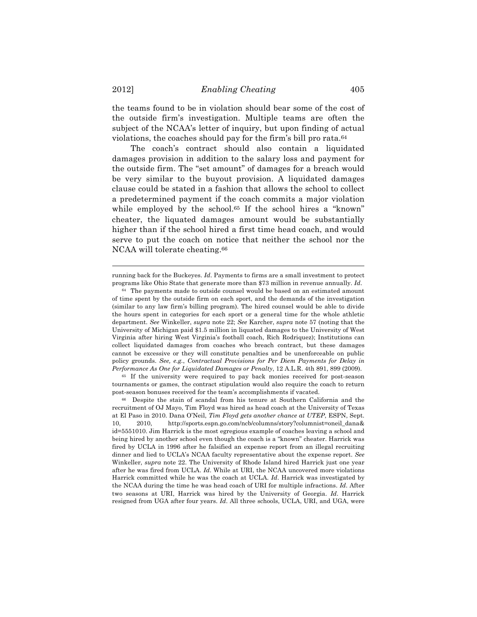the teams found to be in violation should bear some of the cost of the outside firm's investigation. Multiple teams are often the subject of the NCAA's letter of inquiry, but upon finding of actual violations, the coaches should pay for the firm's bill pro rata.64

The coach's contract should also contain a liquidated damages provision in addition to the salary loss and payment for the outside firm. The "set amount" of damages for a breach would be very similar to the buyout provision. A liquidated damages clause could be stated in a fashion that allows the school to collect a predetermined payment if the coach commits a major violation while employed by the school.<sup>65</sup> If the school hires a "known" cheater, the liquated damages amount would be substantially higher than if the school hired a first time head coach, and would serve to put the coach on notice that neither the school nor the NCAA will tolerate cheating.66

<sup>65</sup> If the university were required to pay back monies received for post-season tournaments or games, the contract stipulation would also require the coach to return post-season bonuses received for the team's accomplishments if vacated.

<sup>66</sup> Despite the stain of scandal from his tenure at Southern California and the recruitment of OJ Mayo, Tim Floyd was hired as head coach at the University of Texas at El Paso in 2010. Dana O'Neil, *Tim Floyd gets another chance at UTEP*, ESPN, Sept. 10, 2010, http://sports.espn.go.com/ncb/columns/story?columnist=oneil\_dana& id=5551010. Jim Harrick is the most egregious example of coaches leaving a school and being hired by another school even though the coach is a "known" cheater. Harrick was fired by UCLA in 1996 after he falsified an expense report from an illegal recruiting dinner and lied to UCLA's NCAA faculty representative about the expense report. *See*  Winkeller, *supra* note 22. The University of Rhode Island hired Harrick just one year after he was fired from UCLA. *Id*. While at URI, the NCAA uncovered more violations Harrick committed while he was the coach at UCLA. *Id*. Harrick was investigated by the NCAA during the time he was head coach of URI for multiple infractions. *Id*. After two seasons at URI, Harrick was hired by the University of Georgia. *Id*. Harrick resigned from UGA after four years. *Id*. All three schools, UCLA, URI, and UGA, were

running back for the Buckeyes. *Id*. Payments to firms are a small investment to protect programs like Ohio State that generate more than \$73 million in revenue annually. *Id*.

<sup>&</sup>lt;sup>64</sup> The payments made to outside counsel would be based on an estimated amount of time spent by the outside firm on each sport, and the demands of the investigation (similar to any law firm's billing program). The hired counsel would be able to divide the hours spent in categories for each sport or a general time for the whole athletic department. *See* Winkeller, *supra* note 22; *See* Karcher, *supra* note 57 (noting that the University of Michigan paid \$1.5 million in liquated damages to the University of West Virginia after hiring West Virginia's football coach, Rich Rodriquez); Institutions can collect liquidated damages from coaches who breach contract, but these damages cannot be excessive or they will constitute penalties and be unenforceable on public policy grounds. *See, e.g.*, *Contractual Provisions for Per Diem Payments for Delay in Performance As One for Liquidated Damages or Penalty*, 12 A.L.R. 4th 891, 899 (2009).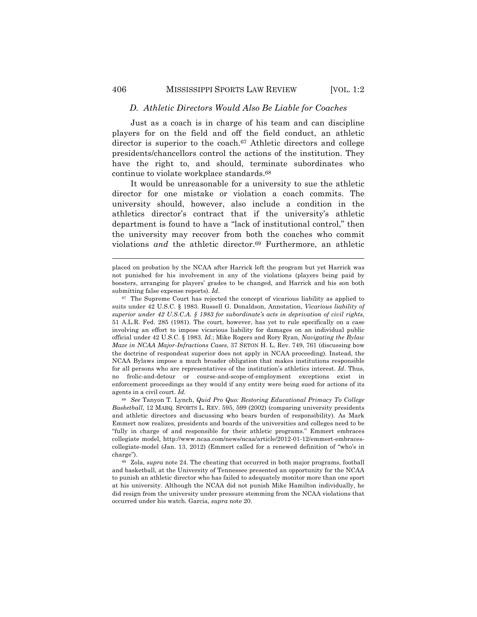## *D. Athletic Directors Would Also Be Liable for Coaches*

Just as a coach is in charge of his team and can discipline players for on the field and off the field conduct, an athletic director is superior to the coach.<sup>67</sup> Athletic directors and college presidents/chancellors control the actions of the institution. They have the right to, and should, terminate subordinates who continue to violate workplace standards.68

It would be unreasonable for a university to sue the athletic director for one mistake or violation a coach commits. The university should, however, also include a condition in the athletics director's contract that if the university's athletic department is found to have a "lack of institutional control," then the university may recover from both the coaches who commit violations *and* the athletic director.69 Furthermore, an athletic

 $67$  The Supreme Court has rejected the concept of vicarious liability as applied to suits under 42 U.S.C. § 1983. Russell G. Donaldson, Annotation, *Vicarious liability of superior under 42 U.S.C.A. § 1983 for subordinate's acts in deprivation of civil rights*, 51 A.L.R. Fed. 285 (1981). The court, however, has yet to rule specifically on a case involving an effort to impose vicarious liability for damages on an individual public official under 42 U.S.C. § 1983. *Id.*; Mike Rogers and Rory Ryan, *Navigating the Bylaw Maze in NCAA Major-Infractions Cases*, 37 SETON H. L. Rev. 749, 761 (discussing how the doctrine of respondeat superior does not apply in NCAA proceeding). Instead, the NCAA Bylaws impose a much broader obligation that makes institutions responsible for all persons who are representatives of the institution's athletics interest. *Id*. Thus, no frolic-and-detour or course-and-scope-of-employment exceptions exist in enforcement proceedings as they would if any entity were being sued for actions of its agents in a civil court. *Id*.

<sup>68</sup> *See* Tanyon T. Lynch, *Quid Pro Quo: Restoring Educational Primacy To College Basketball*, 12 MARQ. SPORTS L. REV. 595, 599 (2002) (comparing university presidents and athletic directors and discussing who bears burden of responsibility). As Mark Emmert now realizes, presidents and boards of the universities and colleges need to be "fully in charge of and responsible for their athletic programs." Emmert embraces collegiate model, http://www.ncaa.com/news/ncaa/article/2012-01-12/emmert-embracescollegiate-model (Jan. 13, 2012) (Emmert called for a renewed definition of "who's in charge").

<sup>69</sup> Zola, *supra* note 24. The cheating that occurred in both major programs, football and basketball, at the University of Tennessee presented an opportunity for the NCAA to punish an athletic director who has failed to adequately monitor more than one sport at his university. Although the NCAA did not punish Mike Hamilton individually, he did resign from the university under pressure stemming from the NCAA violations that occurred under his watch. Garcia, *supra* note 20.

placed on probation by the NCAA after Harrick left the program but yet Harrick was not punished for his involvement in any of the violations (players being paid by boosters, arranging for players' grades to be changed, and Harrick and his son both submitting false expense reports). *Id*.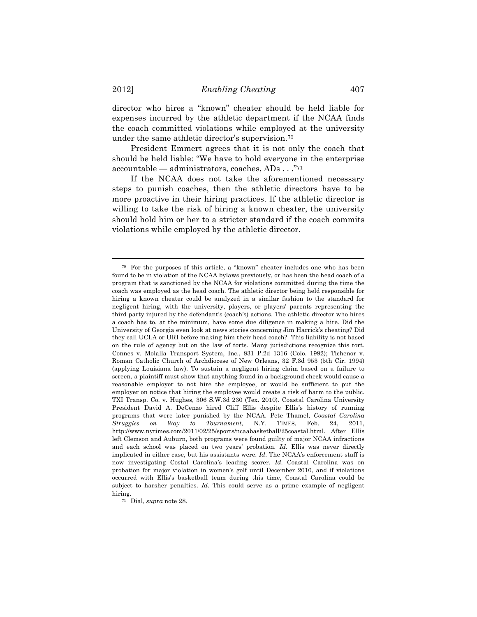director who hires a "known" cheater should be held liable for expenses incurred by the athletic department if the NCAA finds the coach committed violations while employed at the university under the same athletic director's supervision.70

President Emmert agrees that it is not only the coach that should be held liable: "We have to hold everyone in the enterprise accountable — administrators, coaches, ADs . . ."71

If the NCAA does not take the aforementioned necessary steps to punish coaches, then the athletic directors have to be more proactive in their hiring practices. If the athletic director is willing to take the risk of hiring a known cheater, the university should hold him or her to a stricter standard if the coach commits violations while employed by the athletic director.

<sup>71</sup> Dial, *supra* note 28.

<sup>70</sup> For the purposes of this article, a "known" cheater includes one who has been found to be in violation of the NCAA bylaws previously, or has been the head coach of a program that is sanctioned by the NCAA for violations committed during the time the coach was employed as the head coach. The athletic director being held responsible for hiring a known cheater could be analyzed in a similar fashion to the standard for negligent hiring, with the university, players, or players' parents representing the third party injured by the defendant's (coach's) actions. The athletic director who hires a coach has to, at the minimum, have some due diligence in making a hire. Did the University of Georgia even look at news stories concerning Jim Harrick's cheating? Did they call UCLA or URI before making him their head coach? This liability is not based on the rule of agency but on the law of torts. Many jurisdictions recognize this tort. Connes v. Molalla Transport System, Inc., 831 P.2d 1316 (Colo. 1992); Tichenor v. Roman Catholic Church of Archdiocese of New Orleans, 32 F.3d 953 (5th Cir. 1994) (applying Louisiana law). To sustain a negligent hiring claim based on a failure to screen, a plaintiff must show that anything found in a background check would cause a reasonable employer to not hire the employee, or would be sufficient to put the employer on notice that hiring the employee would create a risk of harm to the public. TXI Transp. Co. v. Hughes, 306 S.W.3d 230 (Tex. 2010). Coastal Carolina University President David A. DeCenzo hired Cliff Ellis despite Ellis's history of running programs that were later punished by the NCAA. Pete Thamel, *Coastal Carolina Struggles on Way to Tournament*, N.Y. TIMES, Feb. 24, 2011, http://www.nytimes.com/2011/02/25/sports/ncaabasketball/25coastal.html. After Ellis left Clemson and Auburn, both programs were found guilty of major NCAA infractions and each school was placed on two years' probation. *Id*. Ellis was never directly implicated in either case, but his assistants were. *Id*. The NCAA's enforcement staff is now investigating Costal Carolina's leading scorer. *Id*. Coastal Carolina was on probation for major violation in women's golf until December 2010, and if violations occurred with Ellis's basketball team during this time, Coastal Carolina could be subject to harsher penalties. *Id*. This could serve as a prime example of negligent hiring.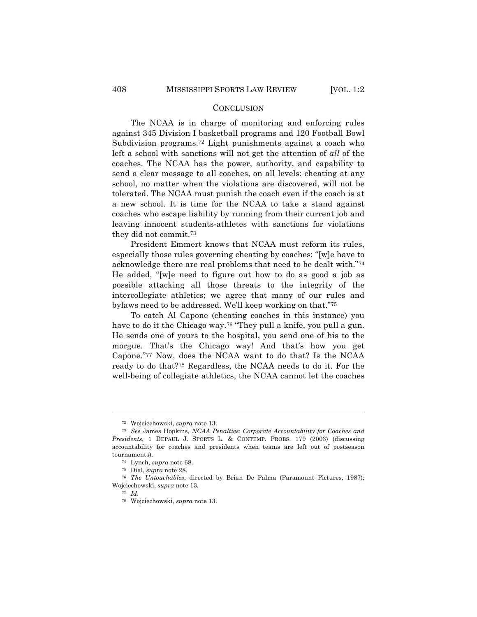## **CONCLUSION**

The NCAA is in charge of monitoring and enforcing rules against 345 Division I basketball programs and 120 Football Bowl Subdivision programs.<sup>72</sup> Light punishments against a coach who left a school with sanctions will not get the attention of *all* of the coaches. The NCAA has the power, authority, and capability to send a clear message to all coaches, on all levels: cheating at any school, no matter when the violations are discovered, will not be tolerated. The NCAA must punish the coach even if the coach is at a new school. It is time for the NCAA to take a stand against coaches who escape liability by running from their current job and leaving innocent students-athletes with sanctions for violations they did not commit.73

President Emmert knows that NCAA must reform its rules, especially those rules governing cheating by coaches: "[w]e have to acknowledge there are real problems that need to be dealt with."74 He added, "[w]e need to figure out how to do as good a job as possible attacking all those threats to the integrity of the intercollegiate athletics; we agree that many of our rules and bylaws need to be addressed. We'll keep working on that."75

To catch Al Capone (cheating coaches in this instance) you have to do it the Chicago way.<sup>76</sup> "They pull a knife, you pull a gun. He sends one of yours to the hospital, you send one of his to the morgue. That's the Chicago way! And that's how you get Capone."77 Now, does the NCAA want to do that? Is the NCAA ready to do that?78 Regardless, the NCAA needs to do it. For the well-being of collegiate athletics, the NCAA cannot let the coaches

<sup>72</sup> Wojciechowski, *supra* note 13.

<sup>73</sup> *See* James Hopkins, *NCAA Penalties: Corporate Accountability for Coaches and Presidents*, 1 DEPAUL J. SPORTS L. & CONTEMP. PROBS. 179 (2003) (discussing accountability for coaches and presidents when teams are left out of postseason tournaments).

<sup>74</sup> Lynch, *supra* note 68.

<sup>75</sup> Dial, *supra* note 28.

<sup>76</sup> *The Untouchables*, directed by Brian De Palma (Paramount Pictures, 1987); Wojciechowski, *supra* note 13.

<sup>77</sup> *Id*.

<sup>78</sup> Wojciechowski, *supra* note 13.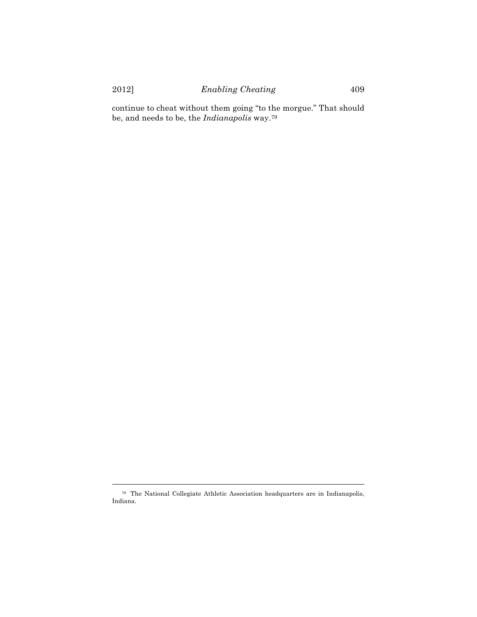$\overline{a}$ 

continue to cheat without them going "to the morgue." That should be, and needs to be, the *Indianapolis* way.79

<sup>79</sup> The National Collegiate Athletic Association headquarters are in Indianapolis, Indiana.